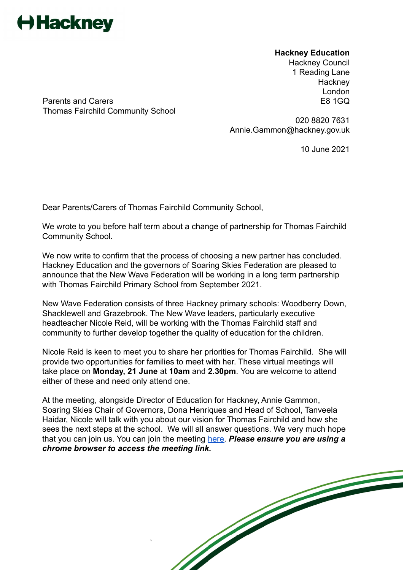

**Hackney Education** Hackney Council 1 Reading Lane **Hackney** London

Parents and Carers **E8 1GQ** Thomas Fairchild Community School

> 020 8820 7631 Annie.Gammon@hackney.gov.uk

> > 10 June 2021

Dear Parents/Carers of Thomas Fairchild Community School,

We wrote to you before half term about a change of partnership for Thomas Fairchild Community School.

We now write to confirm that the process of choosing a new partner has concluded. Hackney Education and the governors of Soaring Skies Federation are pleased to announce that the New Wave Federation will be working in a long term partnership with Thomas Fairchild Primary School from September 2021.

New Wave Federation consists of three Hackney primary schools: Woodberry Down, Shacklewell and Grazebrook. The New Wave leaders, particularly executive headteacher Nicole Reid, will be working with the Thomas Fairchild staff and community to further develop together the quality of education for the children.

Nicole Reid is keen to meet you to share her priorities for Thomas Fairchild. She will provide two opportunities for families to meet with her. These virtual meetings will take place on **Monday, 21 June** at **10am** and **2.30pm**. You are welcome to attend either of these and need only attend one.

At the meeting, alongside Director of Education for Hackney, Annie Gammon, Soaring Skies Chair of Governors, Dona Henriques and Head of School, Tanveela Haidar, Nicole will talk with you about our vision for Thomas Fairchild and how she sees the next steps at the school. We will all answer questions. We very much hope that you can join us. You can join the meeting [here.](http://meet.google.com/udo-sjuz-ntm) *Please ensure you are using a chrome browser to access the meeting link.*

`